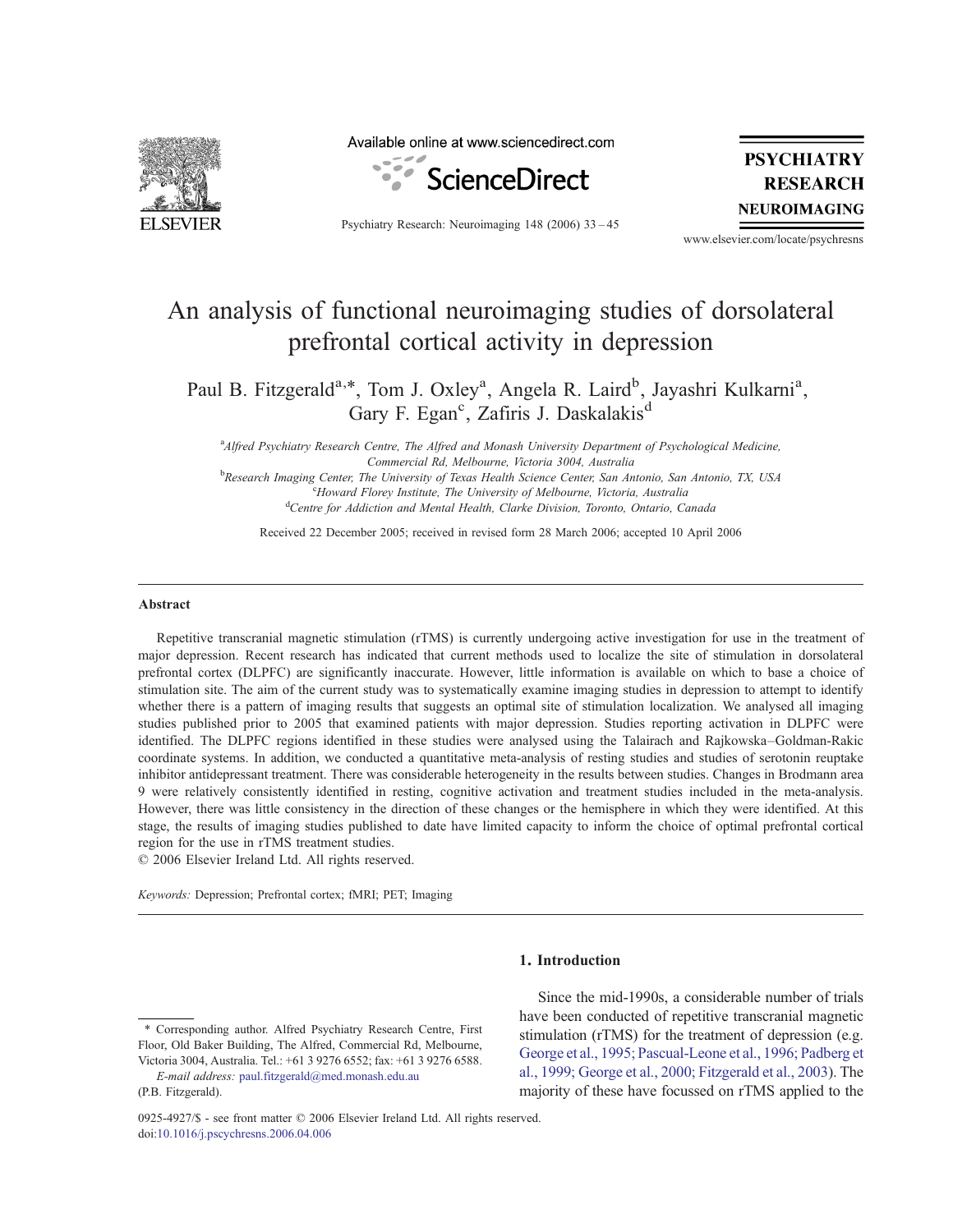

Available online at www.sciencedirect.com



Psychiatry Research: Neuroimaging 148 (2006) 33–45

**PSYCHIATRY RESEARCH NEUROIMAGING** 

www.elsevier.com/locate/psychresns

# An analysis of functional neuroimaging studies of dorsolateral prefrontal cortical activity in depression

Paul B. Fitzgerald<sup>a,\*</sup>, Tom J. Oxley<sup>a</sup>, Angela R. Laird<sup>b</sup>, Jayashri Kulkarni<sup>a</sup>, Gary F. Egan<sup>c</sup>, Zafiris J. Daskalakis<sup>d</sup>

<sup>a</sup> Alfred Psychiatry Research Centre, The Alfred and Monash University Department of Psychological Medicine, Commercial Rd, Melbourne, Victoria 3004, Australia

**bResearch Imaging Center, The University of Texas Health Science Center, San Antonio, San Antonio, TX, USA** c Howard Florey Institute, The University of Melbourne, Victoria, Australia <sup>d</sup>Centre for Addiction and Mental Health, Clarke Division, Toronto, Ontario, Canada

Received 22 December 2005; received in revised form 28 March 2006; accepted 10 April 2006

#### Abstract

Repetitive transcranial magnetic stimulation (rTMS) is currently undergoing active investigation for use in the treatment of major depression. Recent research has indicated that current methods used to localize the site of stimulation in dorsolateral prefrontal cortex (DLPFC) are significantly inaccurate. However, little information is available on which to base a choice of stimulation site. The aim of the current study was to systematically examine imaging studies in depression to attempt to identify whether there is a pattern of imaging results that suggests an optimal site of stimulation localization. We analysed all imaging studies published prior to 2005 that examined patients with major depression. Studies reporting activation in DLPFC were identified. The DLPFC regions identified in these studies were analysed using the Talairach and Rajkowska–Goldman-Rakic coordinate systems. In addition, we conducted a quantitative meta-analysis of resting studies and studies of serotonin reuptake inhibitor antidepressant treatment. There was considerable heterogeneity in the results between studies. Changes in Brodmann area 9 were relatively consistently identified in resting, cognitive activation and treatment studies included in the meta-analysis. However, there was little consistency in the direction of these changes or the hemisphere in which they were identified. At this stage, the results of imaging studies published to date have limited capacity to inform the choice of optimal prefrontal cortical region for the use in rTMS treatment studies.

© 2006 Elsevier Ireland Ltd. All rights reserved.

Keywords: Depression; Prefrontal cortex; fMRI; PET; Imaging

#### 1. Introduction

Since the mid-1990s, a considerable number of trials have been conducted of repetitive transcranial magnetic stimulation (rTMS) for the treatment of depression (e.g. George et al., 1995; Pascual-Leone et al., 1996; Padberg et al., 1999; George et al., 2000; Fitzgerald et al., 2003). The majority of these have focussed on rTMS applied to the

<sup>⁎</sup> Corresponding author. Alfred Psychiatry Research Centre, First Floor, Old Baker Building, The Alfred, Commercial Rd, Melbourne, Victoria 3004, Australia. Tel.: +61 3 9276 6552; fax: +61 3 9276 6588.

E-mail address: paul.fitzgerald@med.monash.edu.au (P.B. Fitzgerald).

<sup>0925-4927/\$</sup> - see front matter © 2006 Elsevier Ireland Ltd. All rights reserved. doi:10.1016/j.pscychresns.2006.04.006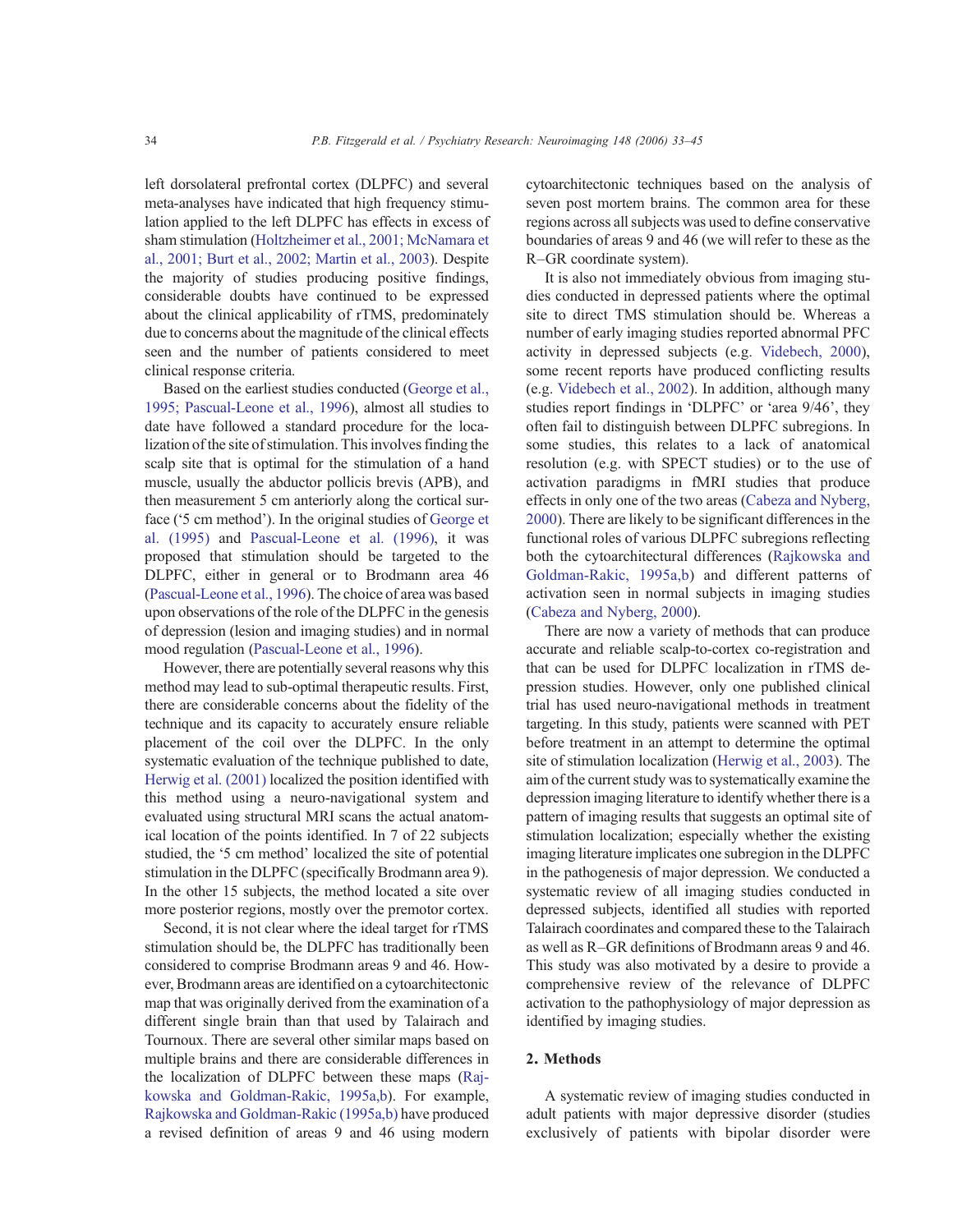left dorsolateral prefrontal cortex (DLPFC) and several meta-analyses have indicated that high frequency stimulation applied to the left DLPFC has effects in excess of sham stimulation (Holtzheimer et al., 2001; McNamara et al., 2001; Burt et al., 2002; Martin et al., 2003). Despite the majority of studies producing positive findings, considerable doubts have continued to be expressed about the clinical applicability of rTMS, predominately due to concerns about the magnitude of the clinical effects seen and the number of patients considered to meet clinical response criteria.

Based on the earliest studies conducted (George et al., 1995; Pascual-Leone et al., 1996), almost all studies to date have followed a standard procedure for the localization of the site of stimulation. This involves finding the scalp site that is optimal for the stimulation of a hand muscle, usually the abductor pollicis brevis (APB), and then measurement 5 cm anteriorly along the cortical surface ('5 cm method'). In the original studies of George et al. (1995) and Pascual-Leone et al. (1996), it was proposed that stimulation should be targeted to the DLPFC, either in general or to Brodmann area 46 (Pascual-Leone et al., 1996). The choice of area was based upon observations of the role of the DLPFC in the genesis of depression (lesion and imaging studies) and in normal mood regulation (Pascual-Leone et al., 1996).

However, there are potentially several reasons why this method may lead to sub-optimal therapeutic results. First, there are considerable concerns about the fidelity of the technique and its capacity to accurately ensure reliable placement of the coil over the DLPFC. In the only systematic evaluation of the technique published to date, Herwig et al. (2001) localized the position identified with this method using a neuro-navigational system and evaluated using structural MRI scans the actual anatomical location of the points identified. In 7 of 22 subjects studied, the '5 cm method' localized the site of potential stimulation in the DLPFC (specifically Brodmann area 9). In the other 15 subjects, the method located a site over more posterior regions, mostly over the premotor cortex.

Second, it is not clear where the ideal target for rTMS stimulation should be, the DLPFC has traditionally been considered to comprise Brodmann areas 9 and 46. However, Brodmann areas are identified on a cytoarchitectonic map that was originally derived from the examination of a different single brain than that used by Talairach and Tournoux. There are several other similar maps based on multiple brains and there are considerable differences in the localization of DLPFC between these maps (Rajkowska and Goldman-Rakic, 1995a,b). For example, Rajkowska and Goldman-Rakic (1995a,b) have produced a revised definition of areas 9 and 46 using modern cytoarchitectonic techniques based on the analysis of seven post mortem brains. The common area for these regions across all subjects was used to define conservative boundaries of areas 9 and 46 (we will refer to these as the R–GR coordinate system).

It is also not immediately obvious from imaging studies conducted in depressed patients where the optimal site to direct TMS stimulation should be. Whereas a number of early imaging studies reported abnormal PFC activity in depressed subjects (e.g. Videbech, 2000), some recent reports have produced conflicting results (e.g. Videbech et al., 2002). In addition, although many studies report findings in 'DLPFC' or 'area 9/46', they often fail to distinguish between DLPFC subregions. In some studies, this relates to a lack of anatomical resolution (e.g. with SPECT studies) or to the use of activation paradigms in fMRI studies that produce effects in only one of the two areas (Cabeza and Nyberg, 2000). There are likely to be significant differences in the functional roles of various DLPFC subregions reflecting both the cytoarchitectural differences (Rajkowska and Goldman-Rakic, 1995a,b) and different patterns of activation seen in normal subjects in imaging studies (Cabeza and Nyberg, 2000).

There are now a variety of methods that can produce accurate and reliable scalp-to-cortex co-registration and that can be used for DLPFC localization in rTMS depression studies. However, only one published clinical trial has used neuro-navigational methods in treatment targeting. In this study, patients were scanned with PET before treatment in an attempt to determine the optimal site of stimulation localization (Herwig et al., 2003). The aim of the current study was to systematically examine the depression imaging literature to identify whether there is a pattern of imaging results that suggests an optimal site of stimulation localization; especially whether the existing imaging literature implicates one subregion in the DLPFC in the pathogenesis of major depression. We conducted a systematic review of all imaging studies conducted in depressed subjects, identified all studies with reported Talairach coordinates and compared these to the Talairach as well as R–GR definitions of Brodmann areas 9 and 46. This study was also motivated by a desire to provide a comprehensive review of the relevance of DLPFC activation to the pathophysiology of major depression as identified by imaging studies.

## 2. Methods

A systematic review of imaging studies conducted in adult patients with major depressive disorder (studies exclusively of patients with bipolar disorder were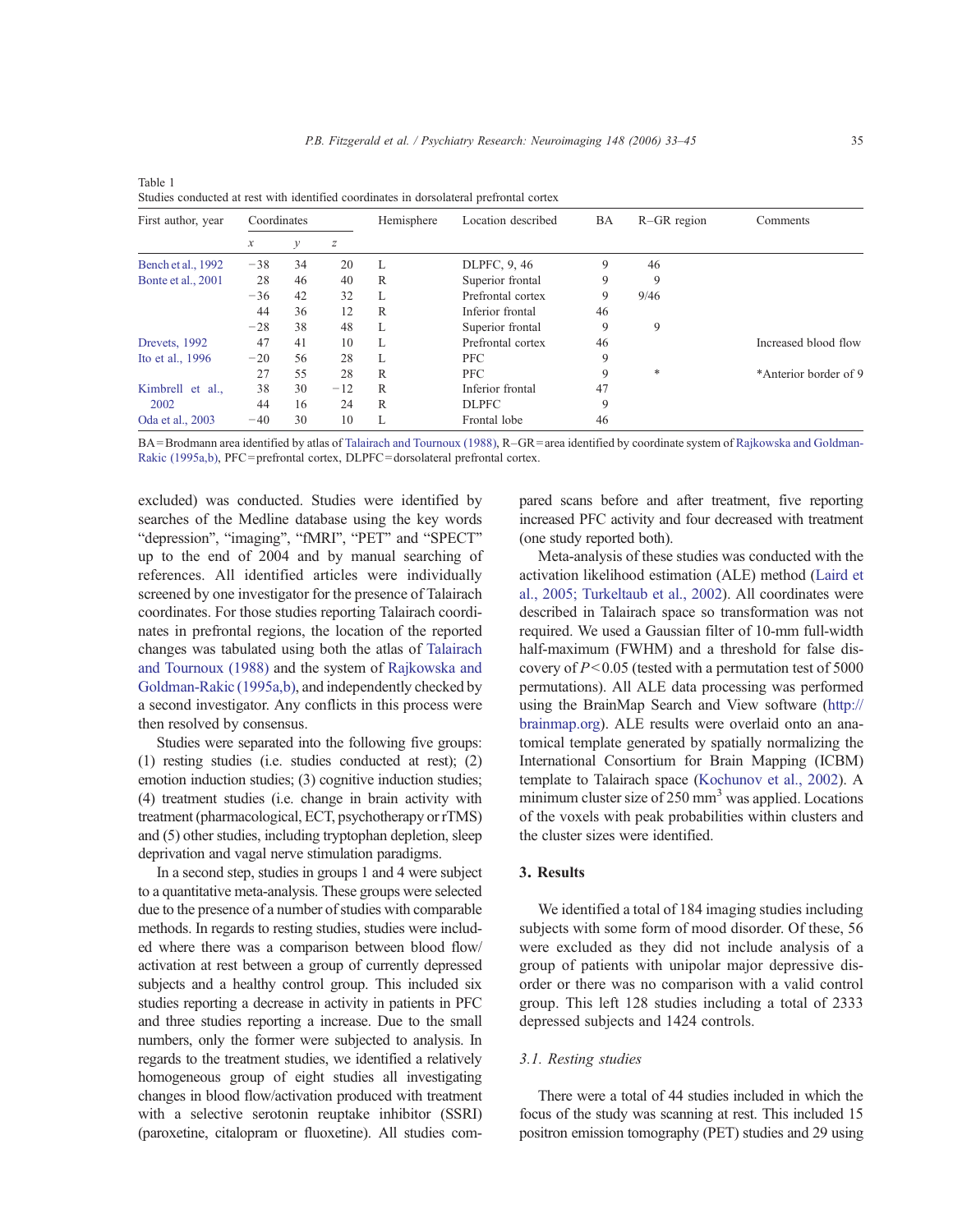| First author, year     | Coordinates             |                   |       | Hemisphere | Location described | BA | $R-GR$ region | Comments              |  |
|------------------------|-------------------------|-------------------|-------|------------|--------------------|----|---------------|-----------------------|--|
|                        | у<br>z<br>$\mathcal{X}$ |                   |       |            |                    |    |               |                       |  |
| Bench et al., 1992     | $-38$                   | 34                | 20    | L          | DLPFC, 9, 46       | 9  | 46            |                       |  |
| Bonte et al., 2001     | 28                      | 46                | 40    | R          | Superior frontal   | 9  | 9             |                       |  |
| 32<br>$-36$<br>42<br>L |                         | Prefrontal cortex | 9     | 9/46       |                    |    |               |                       |  |
|                        | 44                      | 36                | 12    | R          | Inferior frontal   | 46 |               |                       |  |
|                        | $-28$                   | 38                | 48    | L          | Superior frontal   | 9  | 9             |                       |  |
| Drevets, 1992          | 47                      | 41                | 10    | L          | Prefrontal cortex  | 46 |               | Increased blood flow  |  |
| Ito et al., 1996       | $-20$                   | 56                | 28    | L          | <b>PFC</b>         | 9  |               |                       |  |
|                        | 27                      | 55                | 28    | R          | <b>PFC</b>         | 9  | *             | *Anterior border of 9 |  |
| Kimbrell et al.,       | 38                      | 30                | $-12$ | R          | Inferior frontal   | 47 |               |                       |  |
| 2002                   | 44                      | 16                | 24    | R          | <b>DLPFC</b>       | 9  |               |                       |  |
| Oda et al., 2003       | $-40$                   | 30                | 10    | L          | Frontal lobe       | 46 |               |                       |  |

Table 1 Studies conducted at rest with identified coordinates in dorsolateral prefrontal cortex

BA=Brodmann area identified by atlas of Talairach and Tournoux (1988), R–GR=area identified by coordinate system of Rajkowska and Goldman-Rakic (1995a,b), PFC=prefrontal cortex, DLPFC=dorsolateral prefrontal cortex.

excluded) was conducted. Studies were identified by searches of the Medline database using the key words "depression", "imaging", "fMRI", "PET" and "SPECT" up to the end of 2004 and by manual searching of references. All identified articles were individually screened by one investigator for the presence of Talairach coordinates. For those studies reporting Talairach coordinates in prefrontal regions, the location of the reported changes was tabulated using both the atlas of Talairach and Tournoux (1988) and the system of Rajkowska and Goldman-Rakic (1995a,b), and independently checked by a second investigator. Any conflicts in this process were then resolved by consensus.

Studies were separated into the following five groups: (1) resting studies (i.e. studies conducted at rest); (2) emotion induction studies; (3) cognitive induction studies; (4) treatment studies (i.e. change in brain activity with treatment (pharmacological, ECT, psychotherapy or rTMS) and (5) other studies, including tryptophan depletion, sleep deprivation and vagal nerve stimulation paradigms.

In a second step, studies in groups 1 and 4 were subject to a quantitative meta-analysis. These groups were selected due to the presence of a number of studies with comparable methods. In regards to resting studies, studies were included where there was a comparison between blood flow/ activation at rest between a group of currently depressed subjects and a healthy control group. This included six studies reporting a decrease in activity in patients in PFC and three studies reporting a increase. Due to the small numbers, only the former were subjected to analysis. In regards to the treatment studies, we identified a relatively homogeneous group of eight studies all investigating changes in blood flow/activation produced with treatment with a selective serotonin reuptake inhibitor (SSRI) (paroxetine, citalopram or fluoxetine). All studies compared scans before and after treatment, five reporting increased PFC activity and four decreased with treatment (one study reported both).

Meta-analysis of these studies was conducted with the activation likelihood estimation (ALE) method (Laird et al., 2005; Turkeltaub et al., 2002). All coordinates were described in Talairach space so transformation was not required. We used a Gaussian filter of 10-mm full-width half-maximum (FWHM) and a threshold for false discovery of  $P<0.05$  (tested with a permutation test of 5000 permutations). All ALE data processing was performed using the BrainMap Search and View software (http:// brainmap.org). ALE results were overlaid onto an anatomical template generated by spatially normalizing the International Consortium for Brain Mapping (ICBM) template to Talairach space (Kochunov et al., 2002). A minimum cluster size of  $250 \text{ mm}^3$  was applied. Locations of the voxels with peak probabilities within clusters and the cluster sizes were identified.

## 3. Results

We identified a total of 184 imaging studies including subjects with some form of mood disorder. Of these, 56 were excluded as they did not include analysis of a group of patients with unipolar major depressive disorder or there was no comparison with a valid control group. This left 128 studies including a total of 2333 depressed subjects and 1424 controls.

## 3.1. Resting studies

There were a total of 44 studies included in which the focus of the study was scanning at rest. This included 15 positron emission tomography (PET) studies and 29 using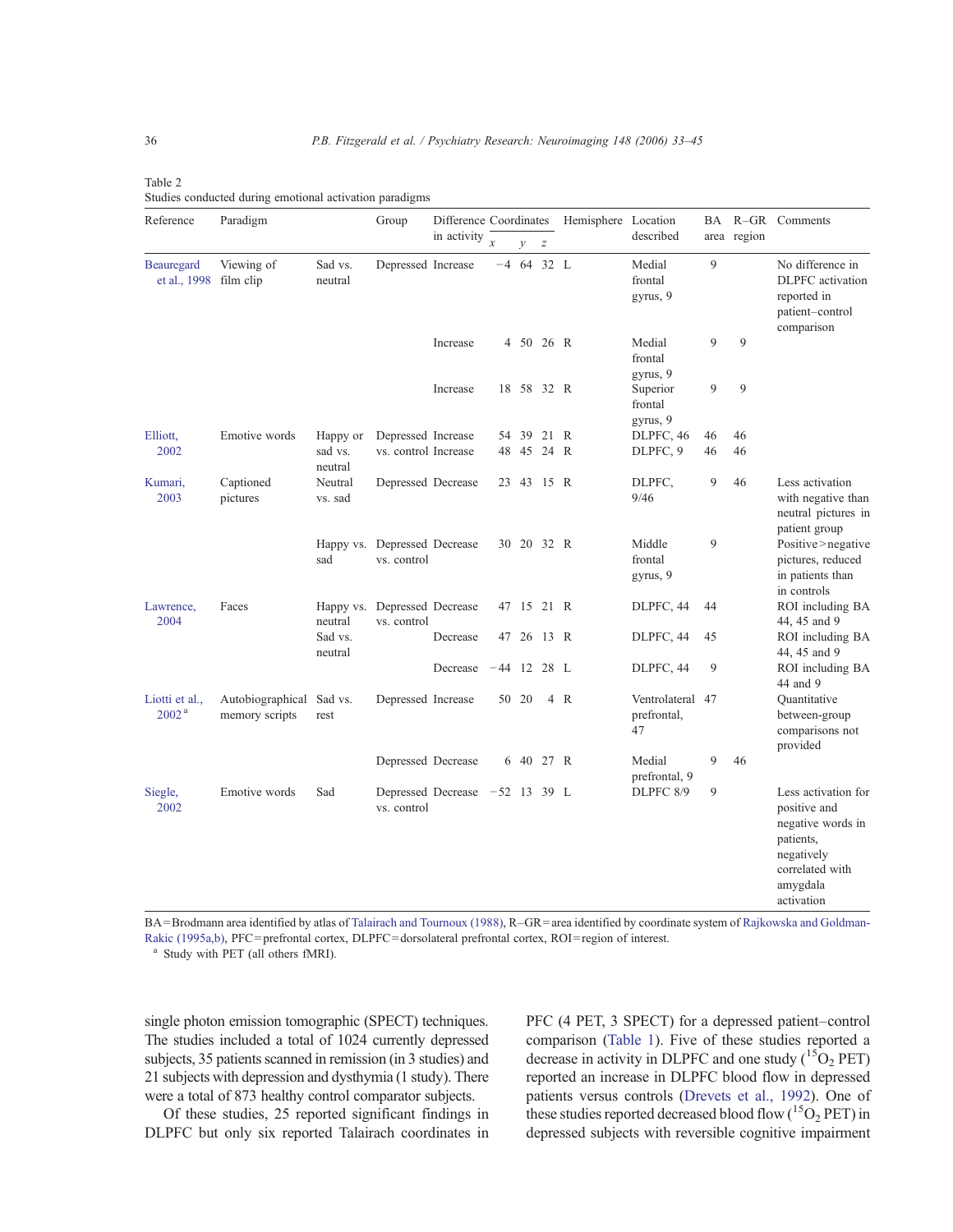Table 2 Studies conducted during emotional activation paradigms

| Reference                               | Paradigm                           |                    | Group                                       |                                | Difference Coordinates |               |                  | Hemisphere Location |                                       |    |             | BA R-GR Comments                                                                                                                 |
|-----------------------------------------|------------------------------------|--------------------|---------------------------------------------|--------------------------------|------------------------|---------------|------------------|---------------------|---------------------------------------|----|-------------|----------------------------------------------------------------------------------------------------------------------------------|
|                                         |                                    |                    |                                             | in activity                    | $\mathbf{x}$           | $\mathcal{V}$ | $\boldsymbol{Z}$ |                     | described                             |    | area region |                                                                                                                                  |
| Beauregard<br>et al., 1998 film clip    | Viewing of                         | Sad vs.<br>neutral | Depressed Increase                          |                                |                        | $-4$ 64 32 L  |                  |                     | Medial<br>frontal<br>gyrus, 9         | 9  |             | No difference in<br><b>DLPFC</b> activation<br>reported in<br>patient-control<br>comparison                                      |
|                                         |                                    |                    |                                             | Increase                       |                        | 4 50 26 R     |                  |                     | Medial<br>frontal                     | 9  | 9           |                                                                                                                                  |
|                                         |                                    |                    |                                             | Increase                       |                        | 18 58 32 R    |                  |                     | gyrus, 9<br>Superior<br>frontal       | 9  | 9           |                                                                                                                                  |
| Elliott,                                | Emotive words                      | Happy or           | Depressed Increase                          |                                |                        | 54 39         | 21 R             |                     | gyrus, 9<br>DLPFC, 46                 | 46 | 46          |                                                                                                                                  |
| 2002                                    |                                    | sad vs.<br>neutral | vs. control Increase                        |                                | 48                     |               | 45 24 R          |                     | DLPFC, 9                              | 46 | 46          |                                                                                                                                  |
| Kumari,<br>2003                         | Captioned<br>pictures              | Neutral<br>vs. sad | Depressed Decrease                          |                                |                        | 23 43 15 R    |                  |                     | DLPFC,<br>9/46                        | 9  | 46          | Less activation<br>with negative than<br>neutral pictures in<br>patient group                                                    |
|                                         |                                    | sad                | Happy vs. Depressed Decrease<br>vs. control |                                |                        | 30 20 32 R    |                  |                     | Middle<br>frontal<br>gyrus, 9         | 9  |             | Positive>negative<br>pictures, reduced<br>in patients than<br>in controls                                                        |
| Lawrence,<br>2004                       | Faces                              | neutral            | Happy vs. Depressed Decrease<br>vs. control |                                |                        | 47 15 21 R    |                  |                     | DLPFC, 44                             | 44 |             | ROI including BA<br>44, 45 and 9                                                                                                 |
|                                         |                                    | Sad vs.<br>neutral |                                             | Decrease                       |                        | 47 26 13 R    |                  |                     | DLPFC, 44                             | 45 |             | ROI including BA<br>44, 45 and 9                                                                                                 |
|                                         |                                    |                    |                                             | Decrease                       | $-44$ 12 28 L          |               |                  |                     | DLPFC, 44                             | 9  |             | ROI including BA<br>44 and 9                                                                                                     |
| Liotti et al.,<br>$2002^{\,\mathrm{a}}$ | Autobiographical<br>memory scripts | Sad vs.<br>rest    | Depressed Increase                          |                                |                        | 50 20         |                  | 4 R                 | Ventrolateral 47<br>prefrontal,<br>47 |    |             | Quantitative<br>between-group<br>comparisons not<br>provided                                                                     |
|                                         |                                    |                    | Depressed Decrease                          |                                |                        | 6 40 27 R     |                  |                     | Medial<br>prefrontal, 9               | 9  | 46          |                                                                                                                                  |
| Siegle,<br>2002                         | Emotive words                      | Sad                | vs. control                                 | Depressed Decrease -52 13 39 L |                        |               |                  |                     | DLPFC 8/9                             | 9  |             | Less activation for<br>positive and<br>negative words in<br>patients,<br>negatively<br>correlated with<br>amygdala<br>activation |

BA=Brodmann area identified by atlas of Talairach and Tournoux (1988), R–GR=area identified by coordinate system of Rajkowska and Goldman-Rakic (1995a,b), PFC=prefrontal cortex, DLPFC=dorsolateral prefrontal cortex, ROI=region of interest.

<sup>a</sup> Study with PET (all others fMRI).

single photon emission tomographic (SPECT) techniques. The studies included a total of 1024 currently depressed subjects, 35 patients scanned in remission (in 3 studies) and 21 subjects with depression and dysthymia (1 study). There were a total of 873 healthy control comparator subjects.

Of these studies, 25 reported significant findings in DLPFC but only six reported Talairach coordinates in PFC (4 PET, 3 SPECT) for a depressed patient–control comparison (Table 1). Five of these studies reported a decrease in activity in DLPFC and one study  $(^{15}O_2$  PET) reported an increase in DLPFC blood flow in depressed patients versus controls (Drevets et al., 1992). One of these studies reported decreased blood flow ( ${}^{15}O_2$  PET) in depressed subjects with reversible cognitive impairment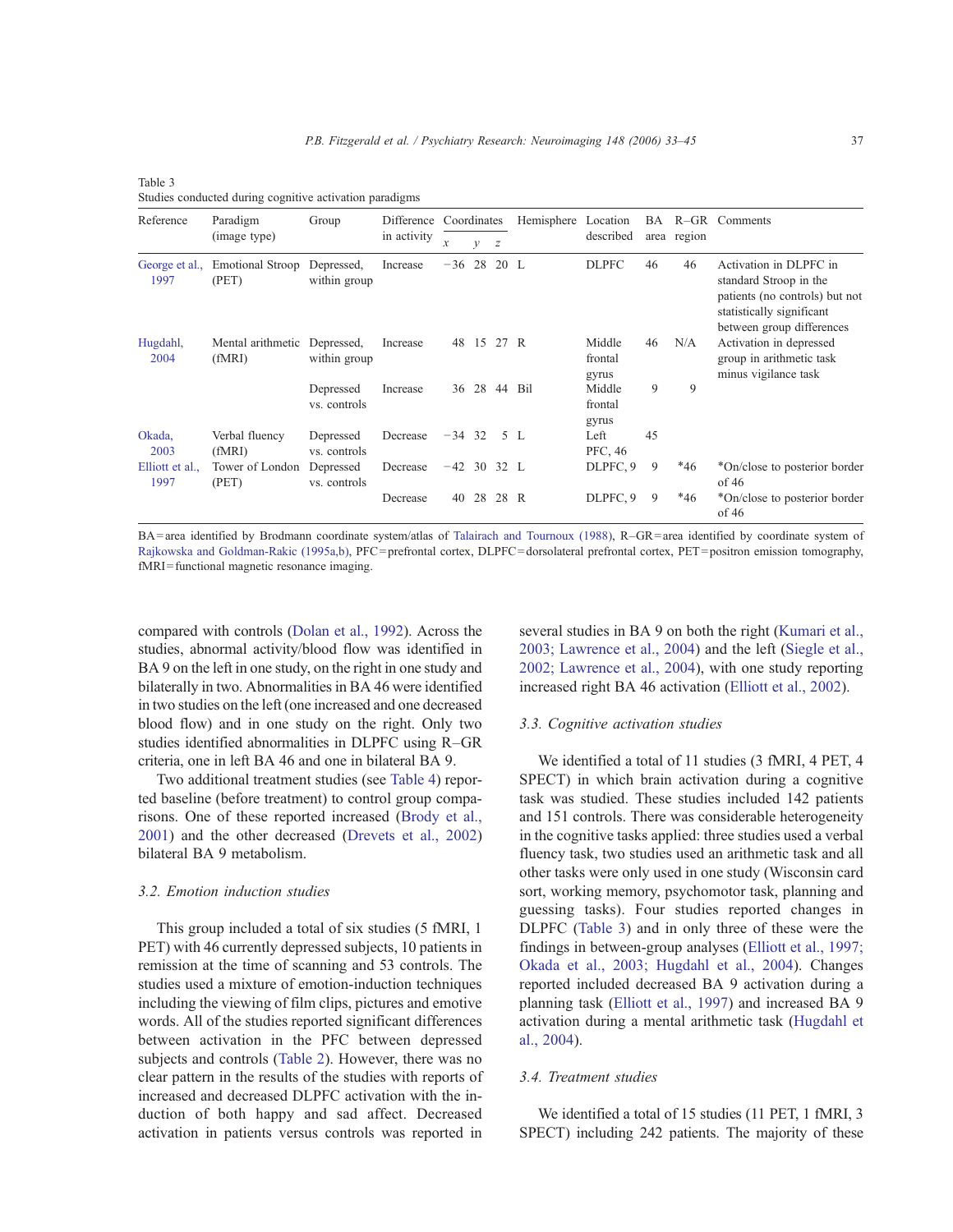| Reference               | Paradigm                         | Group                      |             | Difference Coordinates |    |      | Hemisphere Location |                            | BA |             | R-GR Comments                                                                                                                                |  |
|-------------------------|----------------------------------|----------------------------|-------------|------------------------|----|------|---------------------|----------------------------|----|-------------|----------------------------------------------------------------------------------------------------------------------------------------------|--|
|                         | (image type)                     |                            | in activity | $\mathcal{X}$          | у  | z    |                     | described                  |    | area region |                                                                                                                                              |  |
| George et al.,<br>1997  | <b>Emotional Stroop</b><br>(PET) | Depressed,<br>within group | Increase    | $-36$                  | 28 | 20 L |                     | <b>DLPFC</b>               | 46 | 46          | Activation in DLPFC in<br>standard Stroop in the<br>patients (no controls) but not<br>statistically significant<br>between group differences |  |
| Hugdahl,<br>2004        | Mental arithmetic<br>(fMRI)      | Depressed,<br>within group | Increase    | 48                     | 15 | 27 R |                     | Middle<br>frontal<br>gyrus | 46 | N/A         | Activation in depressed<br>group in arithmetic task<br>minus vigilance task                                                                  |  |
|                         |                                  | Depressed<br>vs. controls  | Increase    | 36                     |    |      | 28 44 Bil           | Middle<br>frontal<br>gyrus | 9  | 9           |                                                                                                                                              |  |
| Okada,<br>2003          | Verbal fluency<br>(fMRI)         | Depressed<br>vs. controls  | Decrease    | $-34$ 32               |    |      | 5 L                 | Left<br>PFC, 46            | 45 |             |                                                                                                                                              |  |
| Elliott et al.,<br>1997 | Tower of London<br>(PET)         | Depressed<br>vs. controls  | Decrease    | $-42$ 30 32 L          |    |      |                     | DLPFC, 9                   | 9  | $*46$       | *On/close to posterior border<br>of 46                                                                                                       |  |
|                         |                                  |                            | Decrease    | 40                     | 28 | 28 R |                     | DLPFC, 9                   | 9  | $*46$       | *On/close to posterior border<br>of 46                                                                                                       |  |

Table 3 Studies conducted during cognitive activation paradigms

BA=area identified by Brodmann coordinate system/atlas of Talairach and Tournoux (1988), R–GR=area identified by coordinate system of Rajkowska and Goldman-Rakic (1995a,b), PFC=prefrontal cortex, DLPFC=dorsolateral prefrontal cortex, PET=positron emission tomography, fMRI=functional magnetic resonance imaging.

compared with controls (Dolan et al., 1992). Across the studies, abnormal activity/blood flow was identified in BA 9 on the left in one study, on the right in one study and bilaterally in two. Abnormalities in BA 46 were identified in two studies on the left (one increased and one decreased blood flow) and in one study on the right. Only two studies identified abnormalities in DLPFC using R–GR criteria, one in left BA 46 and one in bilateral BA 9.

Two additional treatment studies (see Table 4) reported baseline (before treatment) to control group comparisons. One of these reported increased (Brody et al., 2001) and the other decreased (Drevets et al., 2002) bilateral BA 9 metabolism.

#### 3.2. Emotion induction studies

This group included a total of six studies (5 fMRI, 1 PET) with 46 currently depressed subjects, 10 patients in remission at the time of scanning and 53 controls. The studies used a mixture of emotion-induction techniques including the viewing of film clips, pictures and emotive words. All of the studies reported significant differences between activation in the PFC between depressed subjects and controls (Table 2). However, there was no clear pattern in the results of the studies with reports of increased and decreased DLPFC activation with the induction of both happy and sad affect. Decreased activation in patients versus controls was reported in

several studies in BA 9 on both the right (Kumari et al., 2003; Lawrence et al., 2004) and the left (Siegle et al., 2002; Lawrence et al., 2004), with one study reporting increased right BA 46 activation (Elliott et al., 2002).

#### 3.3. Cognitive activation studies

We identified a total of 11 studies (3 fMRI, 4 PET, 4 SPECT) in which brain activation during a cognitive task was studied. These studies included 142 patients and 151 controls. There was considerable heterogeneity in the cognitive tasks applied: three studies used a verbal fluency task, two studies used an arithmetic task and all other tasks were only used in one study (Wisconsin card sort, working memory, psychomotor task, planning and guessing tasks). Four studies reported changes in DLPFC (Table 3) and in only three of these were the findings in between-group analyses (Elliott et al., 1997; Okada et al., 2003; Hugdahl et al., 2004). Changes reported included decreased BA 9 activation during a planning task (Elliott et al., 1997) and increased BA 9 activation during a mental arithmetic task (Hugdahl et al., 2004).

#### 3.4. Treatment studies

We identified a total of 15 studies (11 PET, 1 fMRI, 3 SPECT) including 242 patients. The majority of these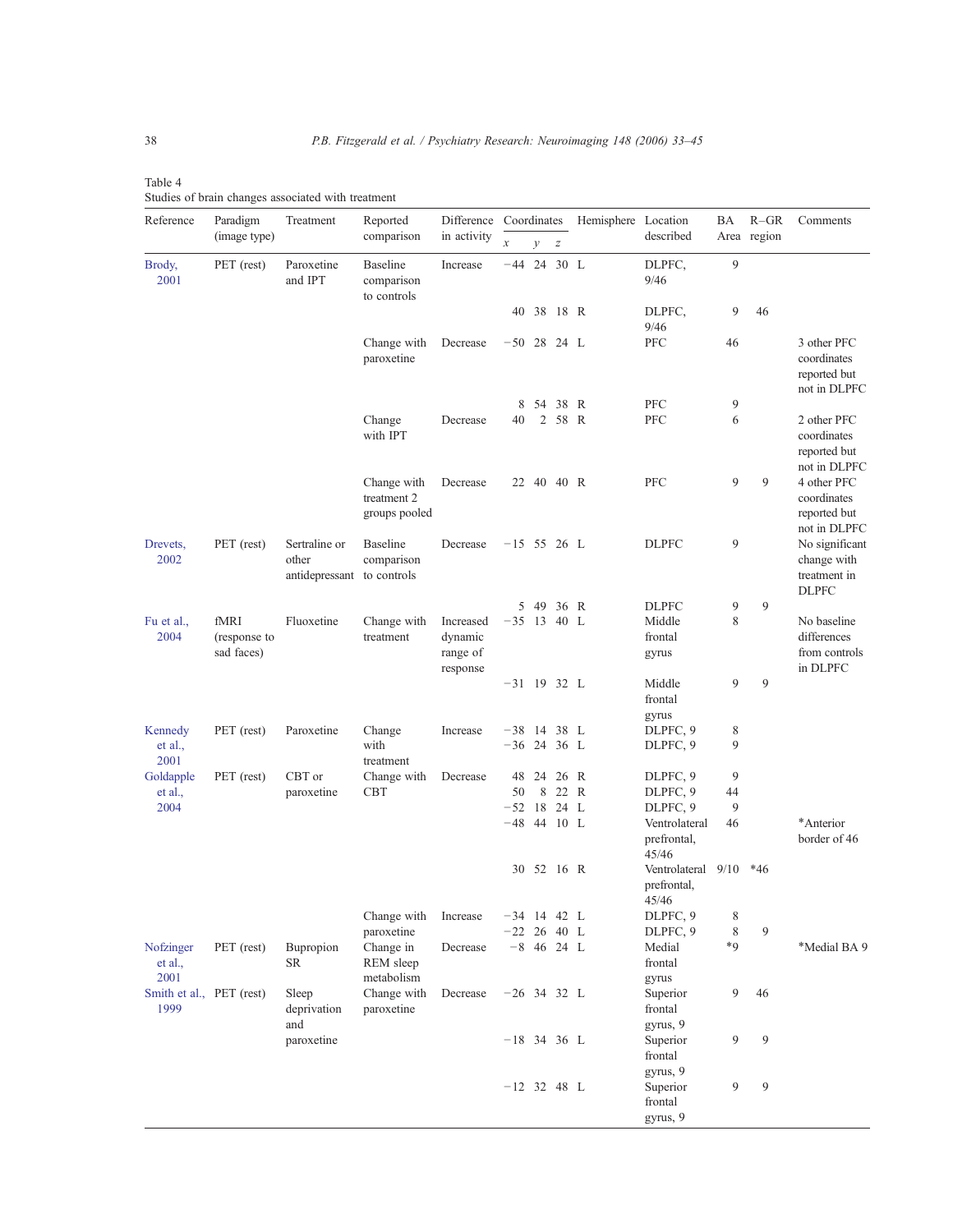| Table 4 |  |                                                    |  |
|---------|--|----------------------------------------------------|--|
|         |  | Studies of brain changes associated with treatment |  |

| Reference                        | Paradigm                   | Treatment                                | Reported                                     | Difference<br>in activity       | Coordinates                    |               |                  | Hemisphere Location |                                             | ΒA     | $R-GR$      | Comments                                                      |
|----------------------------------|----------------------------|------------------------------------------|----------------------------------------------|---------------------------------|--------------------------------|---------------|------------------|---------------------|---------------------------------------------|--------|-------------|---------------------------------------------------------------|
|                                  | (image type)               |                                          | comparison                                   |                                 | $\boldsymbol{\chi}$            | $\mathcal{V}$ | $\boldsymbol{Z}$ |                     | described                                   |        | Area region |                                                               |
| Brody,<br>2001                   | PET (rest)                 | Paroxetine<br>and IPT                    | <b>Baseline</b><br>comparison<br>to controls | Increase                        | $-44$ 24 30 L                  |               |                  |                     | DLPFC,<br>9/46                              | 9      |             |                                                               |
|                                  |                            |                                          |                                              |                                 |                                | 40 38 18 R    |                  |                     | DLPFC,<br>9/46                              | 9      | 46          |                                                               |
|                                  |                            |                                          | Change with<br>paroxetine                    | Decrease                        | $-50$ 28 24 L                  |               |                  |                     | PFC                                         | 46     |             | 3 other PFC<br>coordinates<br>reported but<br>not in DLPFC    |
|                                  |                            |                                          |                                              |                                 | 8                              |               | 54 38 R          |                     | PFC                                         | 9      |             |                                                               |
|                                  |                            |                                          | Change<br>with IPT                           | Decrease                        | 40                             |               | 2 58 R           |                     | PFC                                         | 6      |             | 2 other PFC<br>coordinates<br>reported but<br>not in DLPFC    |
|                                  |                            |                                          | Change with<br>treatment 2<br>groups pooled  | Decrease                        |                                | 22 40 40 R    |                  |                     | PFC                                         | 9      | 9           | 4 other PFC<br>coordinates<br>reported but<br>not in DLPFC    |
| Drevets,<br>2002                 | PET (rest)                 | Sertraline or<br>other<br>antidepressant | <b>Baseline</b><br>comparison<br>to controls | Decrease                        | $-15$ 55 26 L                  |               |                  |                     | <b>DLPFC</b>                                | 9      |             | No significant<br>change with<br>treatment in<br><b>DLPFC</b> |
|                                  |                            |                                          |                                              |                                 |                                | 5 49 36 R     |                  |                     | <b>DLPFC</b>                                | 9      | 9           |                                                               |
| Fu et al.,                       | fMRI                       | Fluoxetine                               | Change with                                  | Increased                       | $-35$ 13 40 L                  |               |                  |                     | Middle                                      | 8      |             | No baseline                                                   |
| 2004                             | (response to<br>sad faces) |                                          | treatment                                    | dynamic<br>range of<br>response |                                |               |                  |                     | frontal<br>gyrus                            |        |             | differences<br>from controls<br>in DLPFC                      |
|                                  |                            |                                          |                                              |                                 | $-31$ 19 32 L                  |               |                  |                     | Middle<br>frontal                           | 9      | 9           |                                                               |
|                                  |                            |                                          |                                              |                                 |                                |               |                  |                     | gyrus                                       |        |             |                                                               |
| Kennedy<br>et al.,<br>2001       | PET (rest)                 | Paroxetine                               | Change<br>with<br>treatment                  | Increase                        | $-38$ 14 38 L<br>$-36$ 24 36 L |               |                  |                     | DLPFC, 9<br>DLPFC, 9                        | 8<br>9 |             |                                                               |
| Goldapple                        | PET (rest)                 | CBT or                                   | Change with                                  | Decrease                        |                                | 48 24 26 R    |                  |                     | DLPFC, 9                                    | 9      |             |                                                               |
| et al.,                          |                            | paroxetine                               | CBT                                          |                                 | 50                             | 8             | 22 R             |                     | DLPFC, 9                                    | 44     |             |                                                               |
| 2004                             |                            |                                          |                                              |                                 | $-52$ 18                       |               | 24 L             |                     | DLPFC, 9                                    | 9      |             |                                                               |
|                                  |                            |                                          |                                              |                                 | $-48$ 44 10 L                  |               |                  |                     | Ventrolateral<br>prefrontal,<br>45/46       | 46     |             | *Anterior<br>border of 46                                     |
|                                  |                            |                                          |                                              |                                 |                                | 30 52 16 R    |                  |                     | Ventrolateral 9/10<br>prefrontal,<br>45/46  |        | $*46$       |                                                               |
|                                  |                            |                                          | Change with                                  | Increase                        | $-34$ 14 42 L                  |               |                  |                     | DLPFC, 9                                    | 8      |             |                                                               |
|                                  |                            |                                          | paroxetine                                   |                                 | $-22$ 26 40 L                  |               |                  |                     | DLPFC, 9                                    | 8      | 9           |                                                               |
| Nofzinger<br>et al.,<br>2001     | PET (rest)                 | Bupropion<br>SR                          | Change in<br>REM sleep<br>metabolism         | Decrease                        |                                | $-8$ 46 24 L  |                  |                     | Medial<br>frontal<br>gyrus                  | $*9$   |             | *Medial BA 9                                                  |
| Smith et al., PET (rest)<br>1999 |                            | Sleep<br>deprivation                     | Change with<br>paroxetine                    | Decrease                        | $-26$ 34 32 L                  |               |                  |                     | Superior<br>frontal                         | 9      | 46          |                                                               |
|                                  |                            | and<br>paroxetine                        |                                              |                                 | $-18$ 34 36 L                  |               |                  |                     | gyrus, 9<br>Superior<br>frontal<br>gyrus, 9 | 9      | 9           |                                                               |
|                                  |                            |                                          |                                              |                                 | $-12$ 32 48 L                  |               |                  |                     | Superior<br>frontal<br>gyrus, 9             | 9      | 9           |                                                               |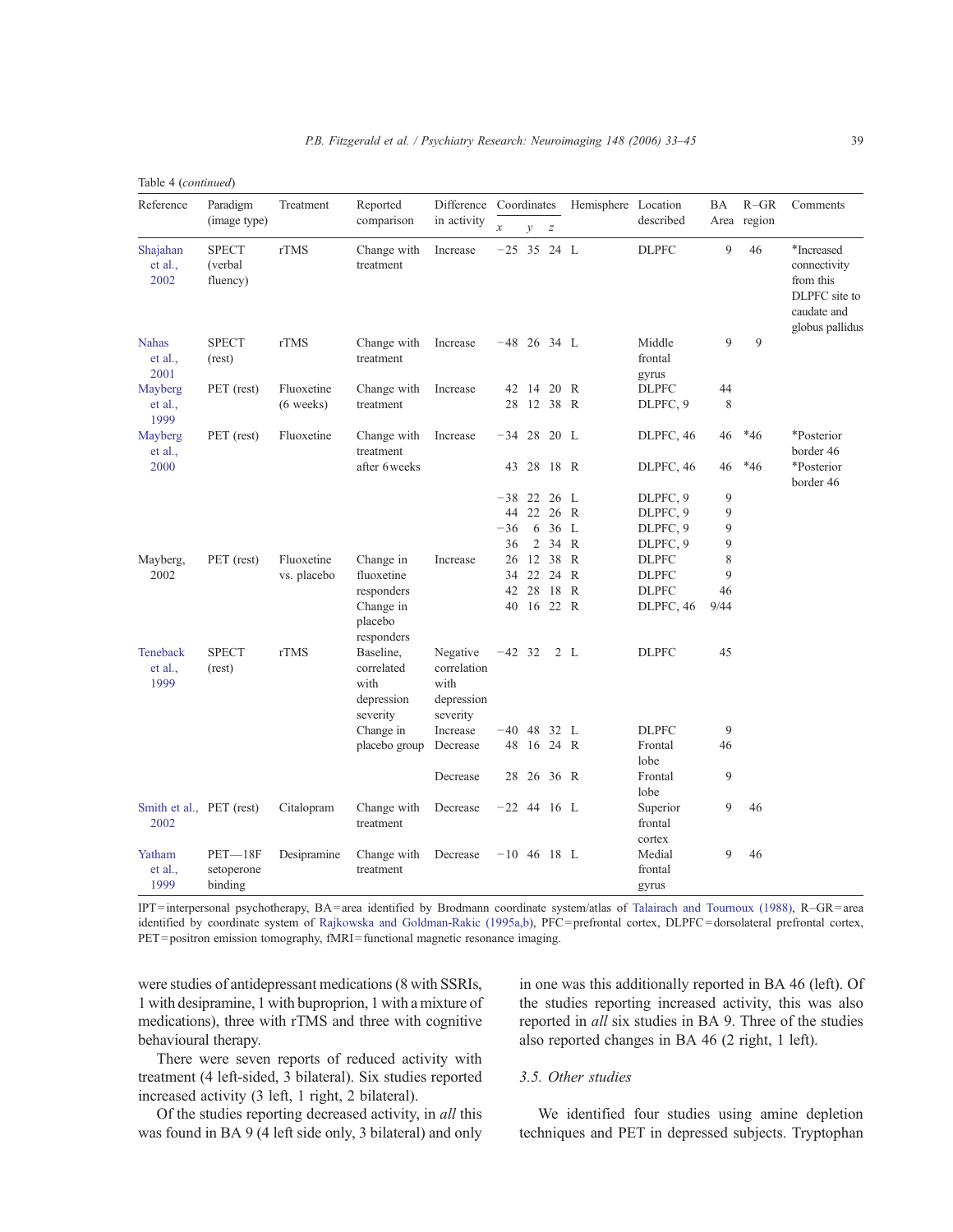|  | Table 4 (continued) |
|--|---------------------|
|--|---------------------|

| Reference                        | Paradigm                            | Treatment   | Reported                                                  | Difference                                                | Coordinates         |               |                  | Hemisphere Location |                               | BA   | $R-GR$      | Comments                                                                                   |
|----------------------------------|-------------------------------------|-------------|-----------------------------------------------------------|-----------------------------------------------------------|---------------------|---------------|------------------|---------------------|-------------------------------|------|-------------|--------------------------------------------------------------------------------------------|
|                                  | (image type)                        |             | comparison                                                | in activity                                               | $\boldsymbol{\chi}$ | $\mathcal{Y}$ | $\boldsymbol{Z}$ |                     | described                     |      | Area region |                                                                                            |
| Shajahan<br>et al.,<br>2002      | <b>SPECT</b><br>(verbal<br>fluency) | rTMS        | Change with<br>treatment                                  | Increase                                                  | $-25$ 35 24 L       |               |                  |                     | <b>DLPFC</b>                  | 9    | 46          | *Increased<br>connectivity<br>from this<br>DLPFC site to<br>caudate and<br>globus pallidus |
| <b>Nahas</b><br>et al.,<br>2001  | <b>SPECT</b><br>(rest)              | rTMS        | Change with<br>treatment                                  | Increase                                                  | $-48$ 26 34 L       |               |                  |                     | Middle<br>frontal<br>gyrus    | 9    | 9           |                                                                                            |
| Mayberg                          | PET (rest)                          | Fluoxetine  | Change with                                               | Increase                                                  |                     | 42 14         | 20 R             |                     | <b>DLPFC</b>                  | 44   |             |                                                                                            |
| et al.,<br>1999                  |                                     | $(6$ weeks) | treatment                                                 |                                                           | 28                  | 12 38 R       |                  |                     | DLPFC, 9                      | 8    |             |                                                                                            |
| Mayberg<br>et al.,               | PET (rest)                          | Fluoxetine  | Change with<br>treatment                                  | Increase                                                  | $-34$ 28            |               | 20 L             |                     | DLPFC, 46                     | 46   | $*46$       | *Posterior<br>border 46                                                                    |
| 2000                             |                                     |             | after 6 weeks                                             |                                                           |                     | 43 28 18 R    |                  |                     | DLPFC, 46                     | 46   | $*46$       | *Posterior<br>border 46                                                                    |
|                                  |                                     |             |                                                           |                                                           | $-38$ 22            |               | 26 L             |                     | DLPFC, 9                      | 9    |             |                                                                                            |
|                                  |                                     |             |                                                           |                                                           |                     | 44 22         | 26 R             |                     | DLPFC, 9                      | 9    |             |                                                                                            |
|                                  |                                     |             |                                                           |                                                           | $-36$               | 6             | 36 L             |                     | DLPFC, 9                      | 9    |             |                                                                                            |
|                                  |                                     |             |                                                           |                                                           | 36                  | 2             | 34 R             |                     | DLPFC, 9                      | 9    |             |                                                                                            |
| Mayberg,                         | PET (rest)                          | Fluoxetine  | Change in                                                 | Increase                                                  |                     | 26 12         | 38 R             |                     | <b>DLPFC</b>                  | 8    |             |                                                                                            |
| 2002                             |                                     | vs. placebo | fluoxetine                                                |                                                           |                     | 34 22 24 R    |                  |                     | <b>DLPFC</b>                  | 9    |             |                                                                                            |
|                                  |                                     |             | responders                                                |                                                           |                     | 42 28         | 18 R             |                     | <b>DLPFC</b>                  | 46   |             |                                                                                            |
|                                  |                                     |             | Change in<br>placebo<br>responders                        |                                                           |                     | 40 16 22 R    |                  |                     | DLPFC, 46                     | 9/44 |             |                                                                                            |
| Teneback<br>et al.,<br>1999      | <b>SPECT</b><br>(rest)              | rTMS        | Baseline,<br>correlated<br>with<br>depression<br>severity | Negative<br>correlation<br>with<br>depression<br>severity | $-42$ 32            |               |                  | 2 L                 | <b>DLPFC</b>                  | 45   |             |                                                                                            |
|                                  |                                     |             | Change in                                                 | Increase                                                  | $-40$ 48            |               | 32 L             |                     | <b>DLPFC</b>                  | 9    |             |                                                                                            |
|                                  |                                     |             | placebo group                                             | Decrease                                                  |                     | 48 16 24 R    |                  |                     | Frontal<br>lobe               | 46   |             |                                                                                            |
|                                  |                                     |             |                                                           | Decrease                                                  | 28                  |               | 26 36 R          |                     | Frontal<br>lobe               | 9    |             |                                                                                            |
| Smith et al., PET (rest)<br>2002 |                                     | Citalopram  | Change with<br>treatment                                  | Decrease                                                  | $-22$ 44 16 L       |               |                  |                     | Superior<br>frontal<br>cortex | 9    | 46          |                                                                                            |
| Yatham<br>et al.,<br>1999        | $PET-18F$<br>setoperone<br>binding  | Desipramine | Change with<br>treatment                                  | Decrease                                                  | $-10$ 46 18 L       |               |                  |                     | Medial<br>frontal<br>gyrus    | 9    | 46          |                                                                                            |

IPT=interpersonal psychotherapy, BA=area identified by Brodmann coordinate system/atlas of Talairach and Tournoux (1988), R–GR=area identified by coordinate system of Rajkowska and Goldman-Rakic (1995a,b), PFC=prefrontal cortex, DLPFC=dorsolateral prefrontal cortex, PET=positron emission tomography, fMRI=functional magnetic resonance imaging.

were studies of antidepressant medications(8 with SSRIs, 1 with desipramine, 1 with buproprion, 1 with a mixture of medications), three with rTMS and three with cognitive behavioural therapy.

There were seven reports of reduced activity with treatment (4 left-sided, 3 bilateral). Six studies reported increased activity (3 left, 1 right, 2 bilateral).

Of the studies reporting decreased activity, in all this was found in BA 9 (4 left side only, 3 bilateral) and only

in one was this additionally reported in BA 46 (left). Of the studies reporting increased activity, this was also reported in all six studies in BA 9. Three of the studies also reported changes in BA 46 (2 right, 1 left).

## 3.5. Other studies

We identified four studies using amine depletion techniques and PET in depressed subjects. Tryptophan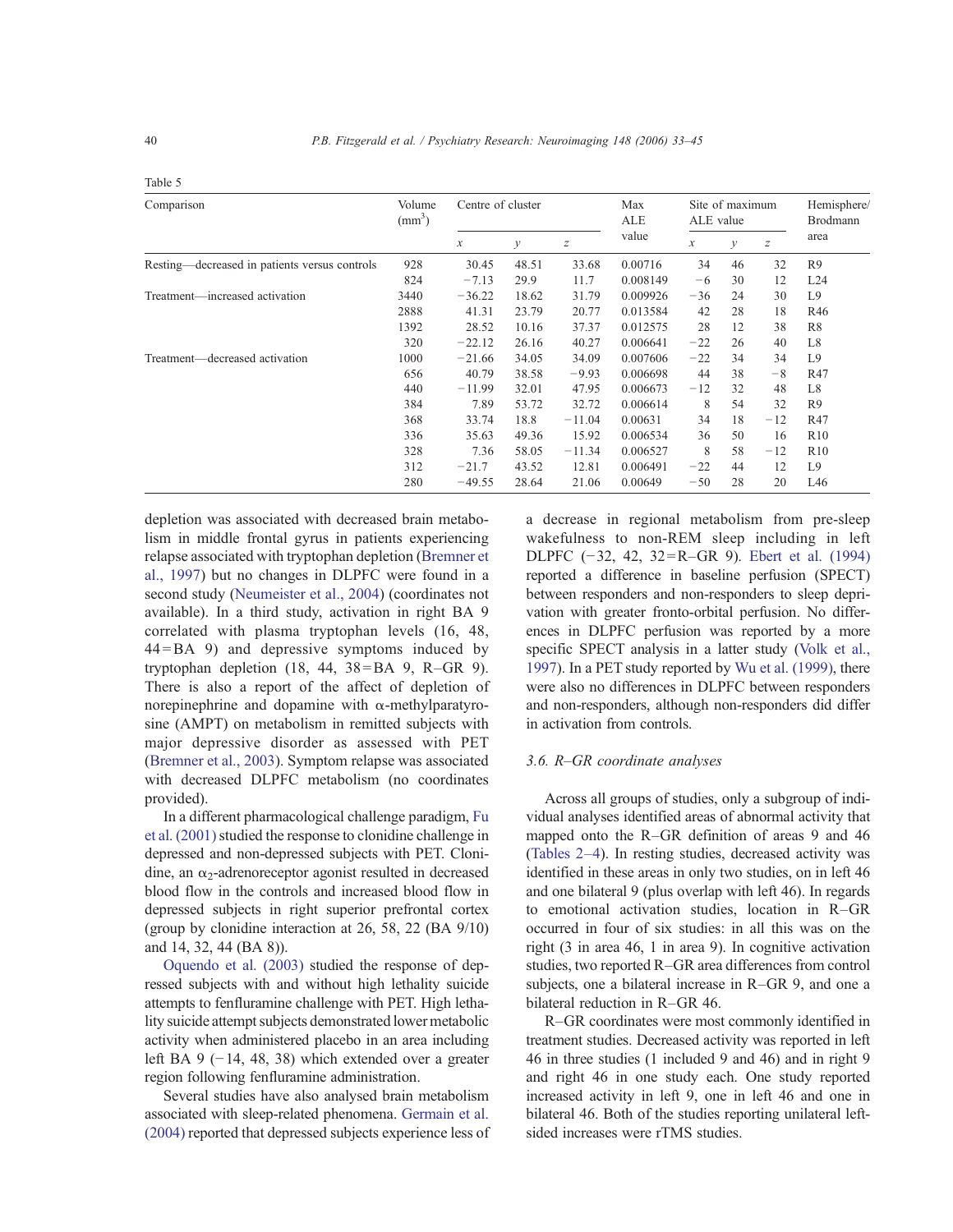| Comparison                                    | Volume<br>$\text{(mm}^3)$ | Centre of cluster   |               |                  | Max<br>ALE | ALE value     | Site of maximum | Hemisphere/<br>Brodmann |                |
|-----------------------------------------------|---------------------------|---------------------|---------------|------------------|------------|---------------|-----------------|-------------------------|----------------|
|                                               |                           | $\boldsymbol{\chi}$ | $\mathcal{Y}$ | $\boldsymbol{Z}$ | value      | $\mathcal{X}$ | у               | Z                       | area           |
| Resting—decreased in patients versus controls | 928                       | 30.45               | 48.51         | 33.68            | 0.00716    | 34            | 46              | 32                      | R <sub>9</sub> |
|                                               | 824                       | $-7.13$             | 29.9          | 11.7             | 0.008149   | -6            | 30              | 12                      | L24            |
| Treatment—increased activation                | 3440                      | $-36.22$            | 18.62         | 31.79            | 0.009926   | $-36$         | 24              | 30                      | L9             |
|                                               | 2888                      | 41.31               | 23.79         | 20.77            | 0.013584   | 42            | 28              | 18                      | R46            |
|                                               | 1392                      | 28.52               | 10.16         | 37.37            | 0.012575   | 28            | 12              | 38                      | R8             |
|                                               | 320                       | $-22.12$            | 26.16         | 40.27            | 0.006641   | $-22$         | 26              | 40                      | L8             |
| Treatment—decreased activation                | 1000                      | $-21.66$            | 34.05         | 34.09            | 0.007606   | $-22$         | 34              | 34                      | L9             |
|                                               | 656                       | 40.79               | 38.58         | $-9.93$          | 0.006698   | 44            | 38              | $-8$                    | R47            |
|                                               | 440                       | $-11.99$            | 32.01         | 47.95            | 0.006673   | $-12$         | 32              | 48                      | L <sub>8</sub> |
|                                               | 384                       | 7.89                | 53.72         | 32.72            | 0.006614   | 8             | 54              | 32                      | R <sub>9</sub> |
|                                               | 368                       | 33.74               | 18.8          | $-11.04$         | 0.00631    | 34            | 18              | $-12$                   | R47            |
|                                               | 336                       | 35.63               | 49.36         | 15.92            | 0.006534   | 36            | 50              | 16                      | R10            |
|                                               | 328                       | 7.36                | 58.05         | $-11.34$         | 0.006527   | 8             | 58              | $-12$                   | R10            |
|                                               | 312                       | $-21.7$             | 43.52         | 12.81            | 0.006491   | $-22$         | 44              | 12                      | L9             |
|                                               | 280                       | $-49.55$            | 28.64         | 21.06            | 0.00649    | $-50$         | 28              | 20                      | L46            |

depletion was associated with decreased brain metabolism in middle frontal gyrus in patients experiencing relapse associated with tryptophan depletion (Bremner et al., 1997) but no changes in DLPFC were found in a second study (Neumeister et al., 2004) (coordinates not available). In a third study, activation in right BA 9 correlated with plasma tryptophan levels (16, 48, 44=BA 9) and depressive symptoms induced by tryptophan depletion  $(18, 44, 38 = BA$  9, R-GR 9). There is also a report of the affect of depletion of norepinephrine and dopamine with α-methylparatyrosine (AMPT) on metabolism in remitted subjects with major depressive disorder as assessed with PET (Bremner et al., 2003). Symptom relapse was associated with decreased DLPFC metabolism (no coordinates provided).

In a different pharmacological challenge paradigm, Fu et al. (2001) studied the response to clonidine challenge in depressed and non-depressed subjects with PET. Clonidine, an  $\alpha_2$ -adrenoreceptor agonist resulted in decreased blood flow in the controls and increased blood flow in depressed subjects in right superior prefrontal cortex (group by clonidine interaction at 26, 58, 22 (BA 9/10) and 14, 32, 44 (BA 8)).

Oquendo et al. (2003) studied the response of depressed subjects with and without high lethality suicide attempts to fenfluramine challenge with PET. High lethality suicide attempt subjects demonstrated lower metabolic activity when administered placebo in an area including left BA 9 (−14, 48, 38) which extended over a greater region following fenfluramine administration.

Several studies have also analysed brain metabolism associated with sleep-related phenomena. Germain et al. (2004) reported that depressed subjects experience less of a decrease in regional metabolism from pre-sleep wakefulness to non-REM sleep including in left DLPFC (−32, 42, 32=R–GR 9). Ebert et al. (1994) reported a difference in baseline perfusion (SPECT) between responders and non-responders to sleep deprivation with greater fronto-orbital perfusion. No differences in DLPFC perfusion was reported by a more specific SPECT analysis in a latter study (Volk et al., 1997). In a PET study reported by Wu et al. (1999), there were also no differences in DLPFC between responders and non-responders, although non-responders did differ in activation from controls.

#### 3.6. R–GR coordinate analyses

Across all groups of studies, only a subgroup of individual analyses identified areas of abnormal activity that mapped onto the R–GR definition of areas 9 and 46 (Tables 2–4). In resting studies, decreased activity was identified in these areas in only two studies, on in left 46 and one bilateral 9 (plus overlap with left 46). In regards to emotional activation studies, location in R–GR occurred in four of six studies: in all this was on the right (3 in area 46, 1 in area 9). In cognitive activation studies, two reported R-GR area differences from control subjects, one a bilateral increase in R–GR 9, and one a bilateral reduction in R–GR 46.

R–GR coordinates were most commonly identified in treatment studies. Decreased activity was reported in left 46 in three studies (1 included 9 and 46) and in right 9 and right 46 in one study each. One study reported increased activity in left 9, one in left 46 and one in bilateral 46. Both of the studies reporting unilateral leftsided increases were rTMS studies.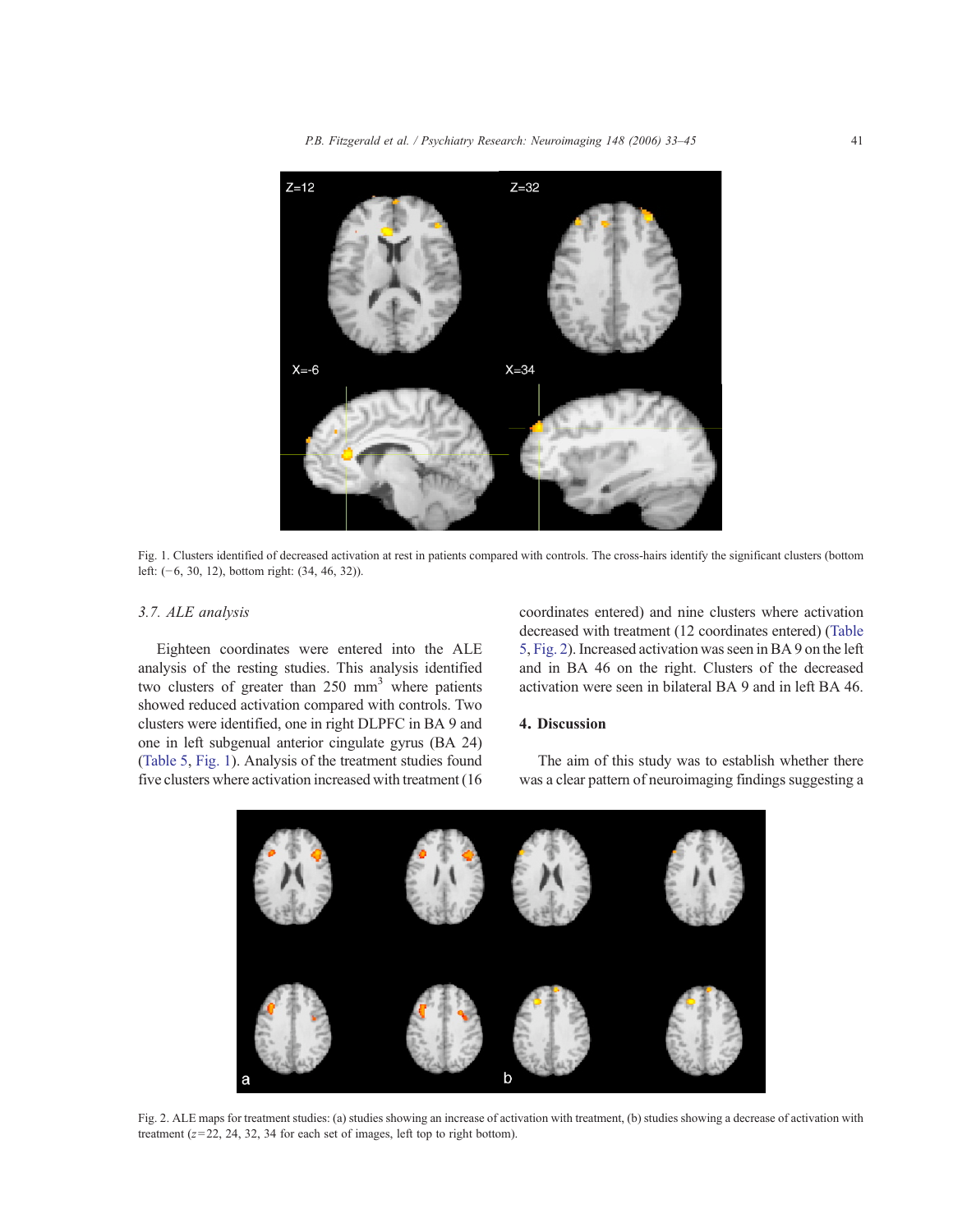P.B. Fitzgerald et al. / Psychiatry Research: Neuroimaging 148 (2006) 33–45 41



Fig. 1. Clusters identified of decreased activation at rest in patients compared with controls. The cross-hairs identify the significant clusters (bottom left: (−6, 30, 12), bottom right: (34, 46, 32)).

## 3.7. ALE analysis

Eighteen coordinates were entered into the ALE analysis of the resting studies. This analysis identified two clusters of greater than  $250 \text{ mm}^3$  where patients showed reduced activation compared with controls. Two clusters were identified, one in right DLPFC in BA 9 and one in left subgenual anterior cingulate gyrus (BA 24) (Table 5, Fig. 1). Analysis of the treatment studies found five clusters where activation increased with treatment (16 coordinates entered) and nine clusters where activation decreased with treatment (12 coordinates entered) (Table 5, Fig. 2).Increased activation wasseen inBA 9 on the left and in BA 46 on the right. Clusters of the decreased activation were seen in bilateral BA 9 and in left BA 46.

## 4. Discussion

The aim of this study was to establish whether there was a clear pattern of neuroimaging findings suggesting a



Fig. 2. ALE maps for treatment studies: (a) studies showing an increase of activation with treatment, (b) studies showing a decrease of activation with treatment  $(z=22, 24, 32, 34$  for each set of images, left top to right bottom).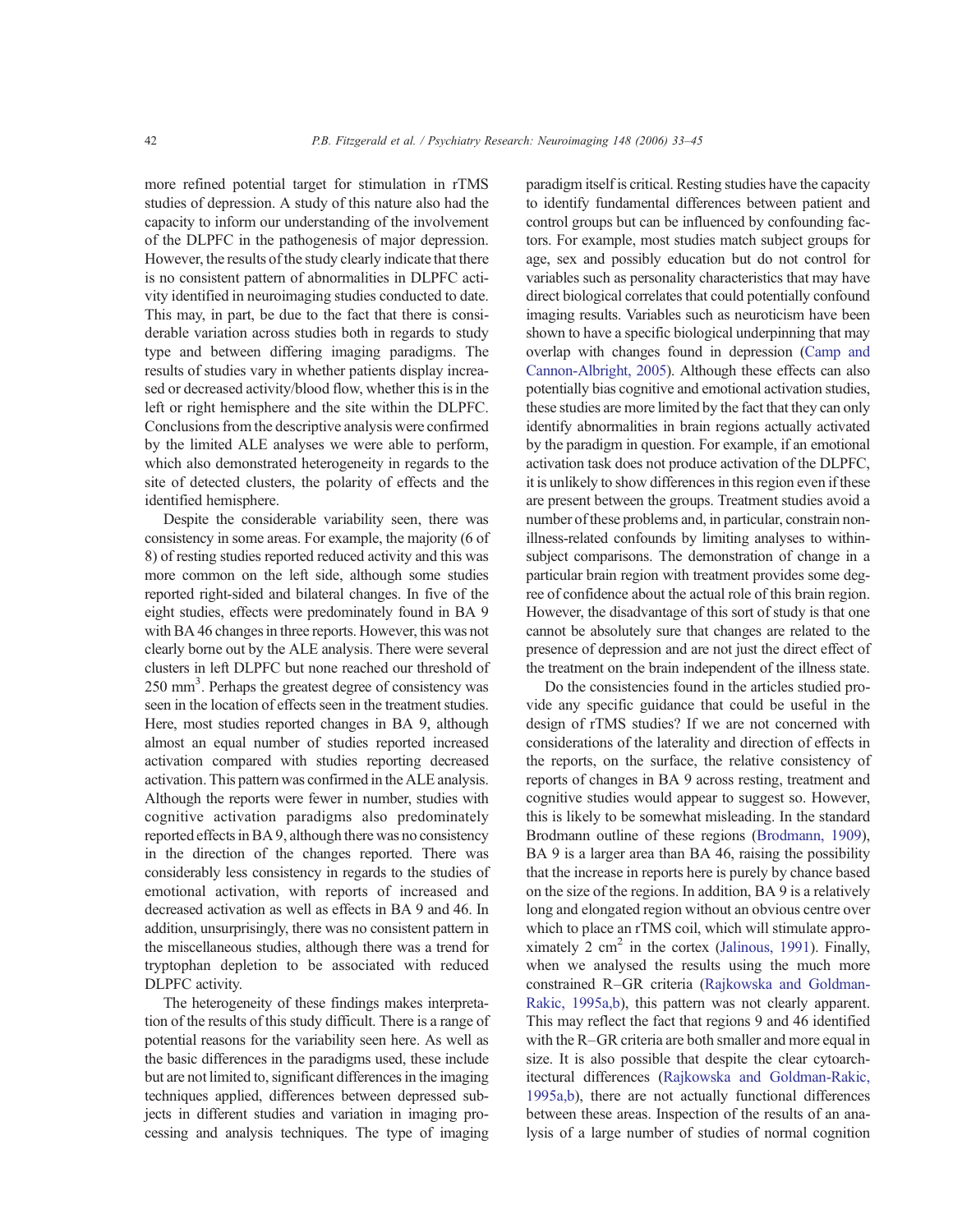more refined potential target for stimulation in rTMS studies of depression. A study of this nature also had the capacity to inform our understanding of the involvement of the DLPFC in the pathogenesis of major depression. However, the results of the study clearly indicate that there is no consistent pattern of abnormalities in DLPFC activity identified in neuroimaging studies conducted to date. This may, in part, be due to the fact that there is considerable variation across studies both in regards to study type and between differing imaging paradigms. The results of studies vary in whether patients display increased or decreased activity/blood flow, whether this is in the left or right hemisphere and the site within the DLPFC. Conclusions from the descriptive analysis were confirmed by the limited ALE analyses we were able to perform, which also demonstrated heterogeneity in regards to the site of detected clusters, the polarity of effects and the identified hemisphere.

Despite the considerable variability seen, there was consistency in some areas. For example, the majority (6 of 8) of resting studies reported reduced activity and this was more common on the left side, although some studies reported right-sided and bilateral changes. In five of the eight studies, effects were predominately found in BA 9 with BA 46 changes in three reports. However, this was not clearly borne out by the ALE analysis. There were several clusters in left DLPFC but none reached our threshold of 250 mm<sup>3</sup>. Perhaps the greatest degree of consistency was seen in the location of effects seen in the treatment studies. Here, most studies reported changes in BA 9, although almost an equal number of studies reported increased activation compared with studies reporting decreased activation.This pattern was confirmed in the ALE analysis. Although the reports were fewer in number, studies with cognitive activation paradigms also predominately reported effects in BA 9, although there was no consistency in the direction of the changes reported. There was considerably less consistency in regards to the studies of emotional activation, with reports of increased and decreased activation as well as effects in BA 9 and 46. In addition, unsurprisingly, there was no consistent pattern in the miscellaneous studies, although there was a trend for tryptophan depletion to be associated with reduced DLPFC activity.

The heterogeneity of these findings makes interpretation of the results of this study difficult. There is a range of potential reasons for the variability seen here. As well as the basic differences in the paradigms used, these include but are not limited to, significant differences in the imaging techniques applied, differences between depressed subjects in different studies and variation in imaging processing and analysis techniques. The type of imaging paradigm itself is critical. Resting studies have the capacity to identify fundamental differences between patient and control groups but can be influenced by confounding factors. For example, most studies match subject groups for age, sex and possibly education but do not control for variables such as personality characteristics that may have direct biological correlates that could potentially confound imaging results. Variables such as neuroticism have been shown to have a specific biological underpinning that may overlap with changes found in depression (Camp and Cannon-Albright, 2005). Although these effects can also potentially bias cognitive and emotional activation studies, these studies are more limited by the fact that they can only identify abnormalities in brain regions actually activated by the paradigm in question. For example, if an emotional activation task does not produce activation of the DLPFC, it is unlikely to show differences in this region even if these are present between the groups. Treatment studies avoid a number of these problems and, in particular, constrain nonillness-related confounds by limiting analyses to withinsubject comparisons. The demonstration of change in a particular brain region with treatment provides some degree of confidence about the actual role of this brain region. However, the disadvantage of this sort of study is that one cannot be absolutely sure that changes are related to the presence of depression and are not just the direct effect of the treatment on the brain independent of the illness state.

Do the consistencies found in the articles studied provide any specific guidance that could be useful in the design of rTMS studies? If we are not concerned with considerations of the laterality and direction of effects in the reports, on the surface, the relative consistency of reports of changes in BA 9 across resting, treatment and cognitive studies would appear to suggest so. However, this is likely to be somewhat misleading. In the standard Brodmann outline of these regions (Brodmann, 1909), BA 9 is a larger area than BA 46, raising the possibility that the increase in reports here is purely by chance based on the size of the regions. In addition, BA 9 is a relatively long and elongated region without an obvious centre over which to place an rTMS coil, which will stimulate approximately 2 cm<sup>2</sup> in the cortex (Jalinous, 1991). Finally, when we analysed the results using the much more constrained R–GR criteria (Rajkowska and Goldman-Rakic, 1995a,b), this pattern was not clearly apparent. This may reflect the fact that regions 9 and 46 identified with the R–GR criteria are both smaller and more equal in size. It is also possible that despite the clear cytoarchitectural differences (Rajkowska and Goldman-Rakic, 1995a,b), there are not actually functional differences between these areas. Inspection of the results of an analysis of a large number of studies of normal cognition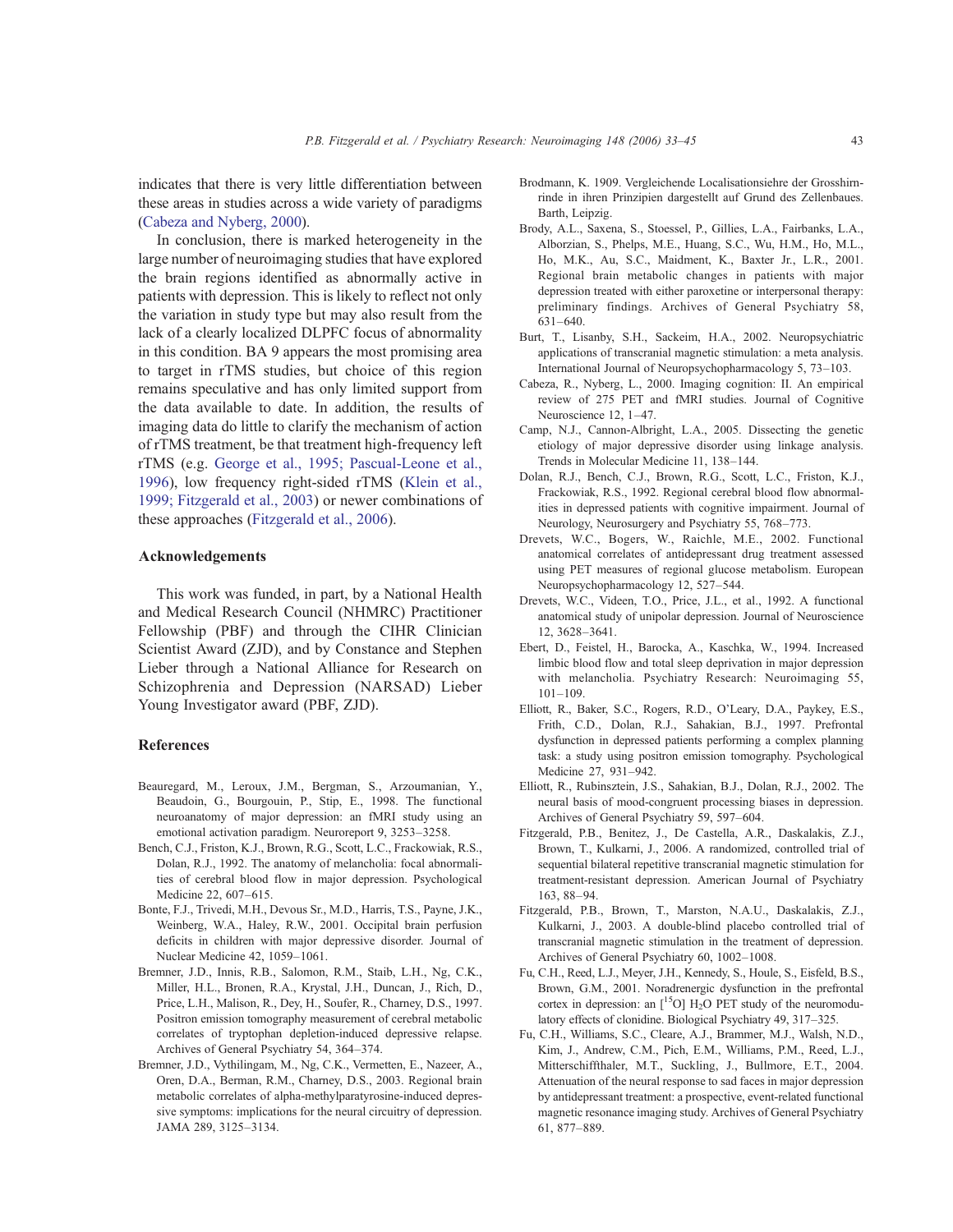indicates that there is very little differentiation between these areas in studies across a wide variety of paradigms (Cabeza and Nyberg, 2000).

In conclusion, there is marked heterogeneity in the large number of neuroimaging studies that have explored the brain regions identified as abnormally active in patients with depression. This is likely to reflect not only the variation in study type but may also result from the lack of a clearly localized DLPFC focus of abnormality in this condition. BA 9 appears the most promising area to target in rTMS studies, but choice of this region remains speculative and has only limited support from the data available to date. In addition, the results of imaging data do little to clarify the mechanism of action of rTMS treatment, be that treatment high-frequency left rTMS (e.g. George et al., 1995; Pascual-Leone et al., 1996), low frequency right-sided rTMS (Klein et al., 1999; Fitzgerald et al., 2003) or newer combinations of these approaches (Fitzgerald et al., 2006).

#### Acknowledgements

This work was funded, in part, by a National Health and Medical Research Council (NHMRC) Practitioner Fellowship (PBF) and through the CIHR Clinician Scientist Award (ZJD), and by Constance and Stephen Lieber through a National Alliance for Research on Schizophrenia and Depression (NARSAD) Lieber Young Investigator award (PBF, ZJD).

#### References

- Beauregard, M., Leroux, J.M., Bergman, S., Arzoumanian, Y., Beaudoin, G., Bourgouin, P., Stip, E., 1998. The functional neuroanatomy of major depression: an fMRI study using an emotional activation paradigm. Neuroreport 9, 3253–3258.
- Bench, C.J., Friston, K.J., Brown, R.G., Scott, L.C., Frackowiak, R.S., Dolan, R.J., 1992. The anatomy of melancholia: focal abnormalities of cerebral blood flow in major depression. Psychological Medicine 22, 607–615.
- Bonte, F.J., Trivedi, M.H., Devous Sr., M.D., Harris, T.S., Payne, J.K., Weinberg, W.A., Haley, R.W., 2001. Occipital brain perfusion deficits in children with major depressive disorder. Journal of Nuclear Medicine 42, 1059–1061.
- Bremner, J.D., Innis, R.B., Salomon, R.M., Staib, L.H., Ng, C.K., Miller, H.L., Bronen, R.A., Krystal, J.H., Duncan, J., Rich, D., Price, L.H., Malison, R., Dey, H., Soufer, R., Charney, D.S., 1997. Positron emission tomography measurement of cerebral metabolic correlates of tryptophan depletion-induced depressive relapse. Archives of General Psychiatry 54, 364–374.
- Bremner, J.D., Vythilingam, M., Ng, C.K., Vermetten, E., Nazeer, A., Oren, D.A., Berman, R.M., Charney, D.S., 2003. Regional brain metabolic correlates of alpha-methylparatyrosine-induced depressive symptoms: implications for the neural circuitry of depression. JAMA 289, 3125–3134.
- Brodmann, K. 1909. Vergleichende Localisationsiehre der Grosshirnrinde in ihren Prinzipien dargestellt auf Grund des Zellenbaues. Barth, Leipzig.
- Brody, A.L., Saxena, S., Stoessel, P., Gillies, L.A., Fairbanks, L.A., Alborzian, S., Phelps, M.E., Huang, S.C., Wu, H.M., Ho, M.L., Ho, M.K., Au, S.C., Maidment, K., Baxter Jr., L.R., 2001. Regional brain metabolic changes in patients with major depression treated with either paroxetine or interpersonal therapy: preliminary findings. Archives of General Psychiatry 58, 631–640.
- Burt, T., Lisanby, S.H., Sackeim, H.A., 2002. Neuropsychiatric applications of transcranial magnetic stimulation: a meta analysis. International Journal of Neuropsychopharmacology 5, 73–103.
- Cabeza, R., Nyberg, L., 2000. Imaging cognition: II. An empirical review of 275 PET and fMRI studies. Journal of Cognitive Neuroscience 12, 1–47.
- Camp, N.J., Cannon-Albright, L.A., 2005. Dissecting the genetic etiology of major depressive disorder using linkage analysis. Trends in Molecular Medicine 11, 138–144.
- Dolan, R.J., Bench, C.J., Brown, R.G., Scott, L.C., Friston, K.J., Frackowiak, R.S., 1992. Regional cerebral blood flow abnormalities in depressed patients with cognitive impairment. Journal of Neurology, Neurosurgery and Psychiatry 55, 768–773.
- Drevets, W.C., Bogers, W., Raichle, M.E., 2002. Functional anatomical correlates of antidepressant drug treatment assessed using PET measures of regional glucose metabolism. European Neuropsychopharmacology 12, 527–544.
- Drevets, W.C., Videen, T.O., Price, J.L., et al., 1992. A functional anatomical study of unipolar depression. Journal of Neuroscience 12, 3628–3641.
- Ebert, D., Feistel, H., Barocka, A., Kaschka, W., 1994. Increased limbic blood flow and total sleep deprivation in major depression with melancholia. Psychiatry Research: Neuroimaging 55, 101–109.
- Elliott, R., Baker, S.C., Rogers, R.D., O'Leary, D.A., Paykey, E.S., Frith, C.D., Dolan, R.J., Sahakian, B.J., 1997. Prefrontal dysfunction in depressed patients performing a complex planning task: a study using positron emission tomography. Psychological Medicine 27, 931–942.
- Elliott, R., Rubinsztein, J.S., Sahakian, B.J., Dolan, R.J., 2002. The neural basis of mood-congruent processing biases in depression. Archives of General Psychiatry 59, 597–604.
- Fitzgerald, P.B., Benitez, J., De Castella, A.R., Daskalakis, Z.J., Brown, T., Kulkarni, J., 2006. A randomized, controlled trial of sequential bilateral repetitive transcranial magnetic stimulation for treatment-resistant depression. American Journal of Psychiatry 163, 88–94.
- Fitzgerald, P.B., Brown, T., Marston, N.A.U., Daskalakis, Z.J., Kulkarni, J., 2003. A double-blind placebo controlled trial of transcranial magnetic stimulation in the treatment of depression. Archives of General Psychiatry 60, 1002–1008.
- Fu, C.H., Reed, L.J., Meyer, J.H., Kennedy, S., Houle, S., Eisfeld, B.S., Brown, G.M., 2001. Noradrenergic dysfunction in the prefrontal cortex in depression: an  $[^{15}O]$  H<sub>2</sub>O PET study of the neuromodulatory effects of clonidine. Biological Psychiatry 49, 317–325.
- Fu, C.H., Williams, S.C., Cleare, A.J., Brammer, M.J., Walsh, N.D., Kim, J., Andrew, C.M., Pich, E.M., Williams, P.M., Reed, L.J., Mitterschiffthaler, M.T., Suckling, J., Bullmore, E.T., 2004. Attenuation of the neural response to sad faces in major depression by antidepressant treatment: a prospective, event-related functional magnetic resonance imaging study. Archives of General Psychiatry 61, 877–889.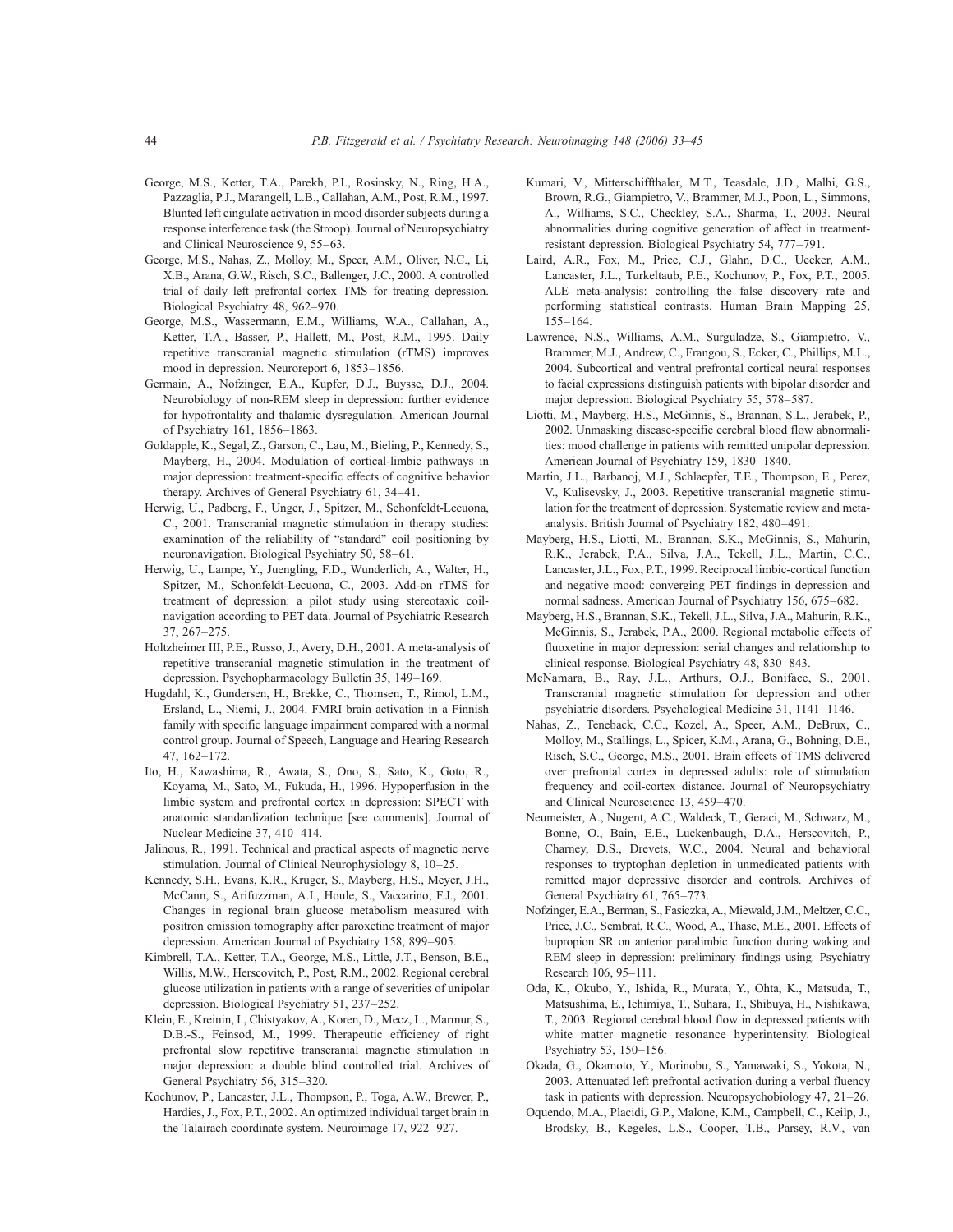- George, M.S., Ketter, T.A., Parekh, P.I., Rosinsky, N., Ring, H.A., Pazzaglia, P.J., Marangell, L.B., Callahan, A.M., Post, R.M., 1997. Blunted left cingulate activation in mood disorder subjects during a response interference task (the Stroop). Journal of Neuropsychiatry and Clinical Neuroscience 9, 55–63.
- George, M.S., Nahas, Z., Molloy, M., Speer, A.M., Oliver, N.C., Li, X.B., Arana, G.W., Risch, S.C., Ballenger, J.C., 2000. A controlled trial of daily left prefrontal cortex TMS for treating depression. Biological Psychiatry 48, 962–970.
- George, M.S., Wassermann, E.M., Williams, W.A., Callahan, A., Ketter, T.A., Basser, P., Hallett, M., Post, R.M., 1995. Daily repetitive transcranial magnetic stimulation (rTMS) improves mood in depression. Neuroreport 6, 1853–1856.
- Germain, A., Nofzinger, E.A., Kupfer, D.J., Buysse, D.J., 2004. Neurobiology of non-REM sleep in depression: further evidence for hypofrontality and thalamic dysregulation. American Journal of Psychiatry 161, 1856–1863.
- Goldapple, K., Segal, Z., Garson, C., Lau, M., Bieling, P., Kennedy, S., Mayberg, H., 2004. Modulation of cortical-limbic pathways in major depression: treatment-specific effects of cognitive behavior therapy. Archives of General Psychiatry 61, 34–41.
- Herwig, U., Padberg, F., Unger, J., Spitzer, M., Schonfeldt-Lecuona, C., 2001. Transcranial magnetic stimulation in therapy studies: examination of the reliability of "standard" coil positioning by neuronavigation. Biological Psychiatry 50, 58–61.
- Herwig, U., Lampe, Y., Juengling, F.D., Wunderlich, A., Walter, H., Spitzer, M., Schonfeldt-Lecuona, C., 2003. Add-on rTMS for treatment of depression: a pilot study using stereotaxic coilnavigation according to PET data. Journal of Psychiatric Research 37, 267–275.
- Holtzheimer III, P.E., Russo, J., Avery, D.H., 2001. A meta-analysis of repetitive transcranial magnetic stimulation in the treatment of depression. Psychopharmacology Bulletin 35, 149–169.
- Hugdahl, K., Gundersen, H., Brekke, C., Thomsen, T., Rimol, L.M., Ersland, L., Niemi, J., 2004. FMRI brain activation in a Finnish family with specific language impairment compared with a normal control group. Journal of Speech, Language and Hearing Research 47, 162–172.
- Ito, H., Kawashima, R., Awata, S., Ono, S., Sato, K., Goto, R., Koyama, M., Sato, M., Fukuda, H., 1996. Hypoperfusion in the limbic system and prefrontal cortex in depression: SPECT with anatomic standardization technique [see comments]. Journal of Nuclear Medicine 37, 410–414.
- Jalinous, R., 1991. Technical and practical aspects of magnetic nerve stimulation. Journal of Clinical Neurophysiology 8, 10–25.
- Kennedy, S.H., Evans, K.R., Kruger, S., Mayberg, H.S., Meyer, J.H., McCann, S., Arifuzzman, A.I., Houle, S., Vaccarino, F.J., 2001. Changes in regional brain glucose metabolism measured with positron emission tomography after paroxetine treatment of major depression. American Journal of Psychiatry 158, 899–905.
- Kimbrell, T.A., Ketter, T.A., George, M.S., Little, J.T., Benson, B.E., Willis, M.W., Herscovitch, P., Post, R.M., 2002. Regional cerebral glucose utilization in patients with a range of severities of unipolar depression. Biological Psychiatry 51, 237–252.
- Klein, E., Kreinin, I., Chistyakov, A., Koren, D., Mecz, L., Marmur, S., D.B.-S., Feinsod, M., 1999. Therapeutic efficiency of right prefrontal slow repetitive transcranial magnetic stimulation in major depression: a double blind controlled trial. Archives of General Psychiatry 56, 315–320.
- Kochunov, P., Lancaster, J.L., Thompson, P., Toga, A.W., Brewer, P., Hardies, J., Fox, P.T., 2002. An optimized individual target brain in the Talairach coordinate system. Neuroimage 17, 922–927.
- Kumari, V., Mitterschiffthaler, M.T., Teasdale, J.D., Malhi, G.S., Brown, R.G., Giampietro, V., Brammer, M.J., Poon, L., Simmons, A., Williams, S.C., Checkley, S.A., Sharma, T., 2003. Neural abnormalities during cognitive generation of affect in treatmentresistant depression. Biological Psychiatry 54, 777–791.
- Laird, A.R., Fox, M., Price, C.J., Glahn, D.C., Uecker, A.M., Lancaster, J.L., Turkeltaub, P.E., Kochunov, P., Fox, P.T., 2005. ALE meta-analysis: controlling the false discovery rate and performing statistical contrasts. Human Brain Mapping 25, 155–164.
- Lawrence, N.S., Williams, A.M., Surguladze, S., Giampietro, V., Brammer, M.J., Andrew, C., Frangou, S., Ecker, C., Phillips, M.L., 2004. Subcortical and ventral prefrontal cortical neural responses to facial expressions distinguish patients with bipolar disorder and major depression. Biological Psychiatry 55, 578–587.
- Liotti, M., Mayberg, H.S., McGinnis, S., Brannan, S.L., Jerabek, P., 2002. Unmasking disease-specific cerebral blood flow abnormalities: mood challenge in patients with remitted unipolar depression. American Journal of Psychiatry 159, 1830–1840.
- Martin, J.L., Barbanoj, M.J., Schlaepfer, T.E., Thompson, E., Perez, V., Kulisevsky, J., 2003. Repetitive transcranial magnetic stimulation for the treatment of depression. Systematic review and metaanalysis. British Journal of Psychiatry 182, 480–491.
- Mayberg, H.S., Liotti, M., Brannan, S.K., McGinnis, S., Mahurin, R.K., Jerabek, P.A., Silva, J.A., Tekell, J.L., Martin, C.C., Lancaster,J.L., Fox, P.T., 1999. Reciprocal limbic-cortical function and negative mood: converging PET findings in depression and normal sadness. American Journal of Psychiatry 156, 675–682.
- Mayberg, H.S., Brannan, S.K., Tekell, J.L., Silva, J.A., Mahurin, R.K., McGinnis, S., Jerabek, P.A., 2000. Regional metabolic effects of fluoxetine in major depression: serial changes and relationship to clinical response. Biological Psychiatry 48, 830–843.
- McNamara, B., Ray, J.L., Arthurs, O.J., Boniface, S., 2001. Transcranial magnetic stimulation for depression and other psychiatric disorders. Psychological Medicine 31, 1141–1146.
- Nahas, Z., Teneback, C.C., Kozel, A., Speer, A.M., DeBrux, C., Molloy, M., Stallings, L., Spicer, K.M., Arana, G., Bohning, D.E., Risch, S.C., George, M.S., 2001. Brain effects of TMS delivered over prefrontal cortex in depressed adults: role of stimulation frequency and coil-cortex distance. Journal of Neuropsychiatry and Clinical Neuroscience 13, 459–470.
- Neumeister, A., Nugent, A.C., Waldeck, T., Geraci, M., Schwarz, M., Bonne, O., Bain, E.E., Luckenbaugh, D.A., Herscovitch, P., Charney, D.S., Drevets, W.C., 2004. Neural and behavioral responses to tryptophan depletion in unmedicated patients with remitted major depressive disorder and controls. Archives of General Psychiatry 61, 765–773.
- Nofzinger, E.A., Berman, S., Fasiczka, A., Miewald,J.M., Meltzer, C.C., Price, J.C., Sembrat, R.C., Wood, A., Thase, M.E., 2001. Effects of bupropion SR on anterior paralimbic function during waking and REM sleep in depression: preliminary findings using. Psychiatry Research 106, 95–111.
- Oda, K., Okubo, Y., Ishida, R., Murata, Y., Ohta, K., Matsuda, T., Matsushima, E., Ichimiya, T., Suhara, T., Shibuya, H., Nishikawa, T., 2003. Regional cerebral blood flow in depressed patients with white matter magnetic resonance hyperintensity. Biological Psychiatry 53, 150–156.
- Okada, G., Okamoto, Y., Morinobu, S., Yamawaki, S., Yokota, N., 2003. Attenuated left prefrontal activation during a verbal fluency task in patients with depression. Neuropsychobiology 47, 21–26.
- Oquendo, M.A., Placidi, G.P., Malone, K.M., Campbell, C., Keilp, J., Brodsky, B., Kegeles, L.S., Cooper, T.B., Parsey, R.V., van